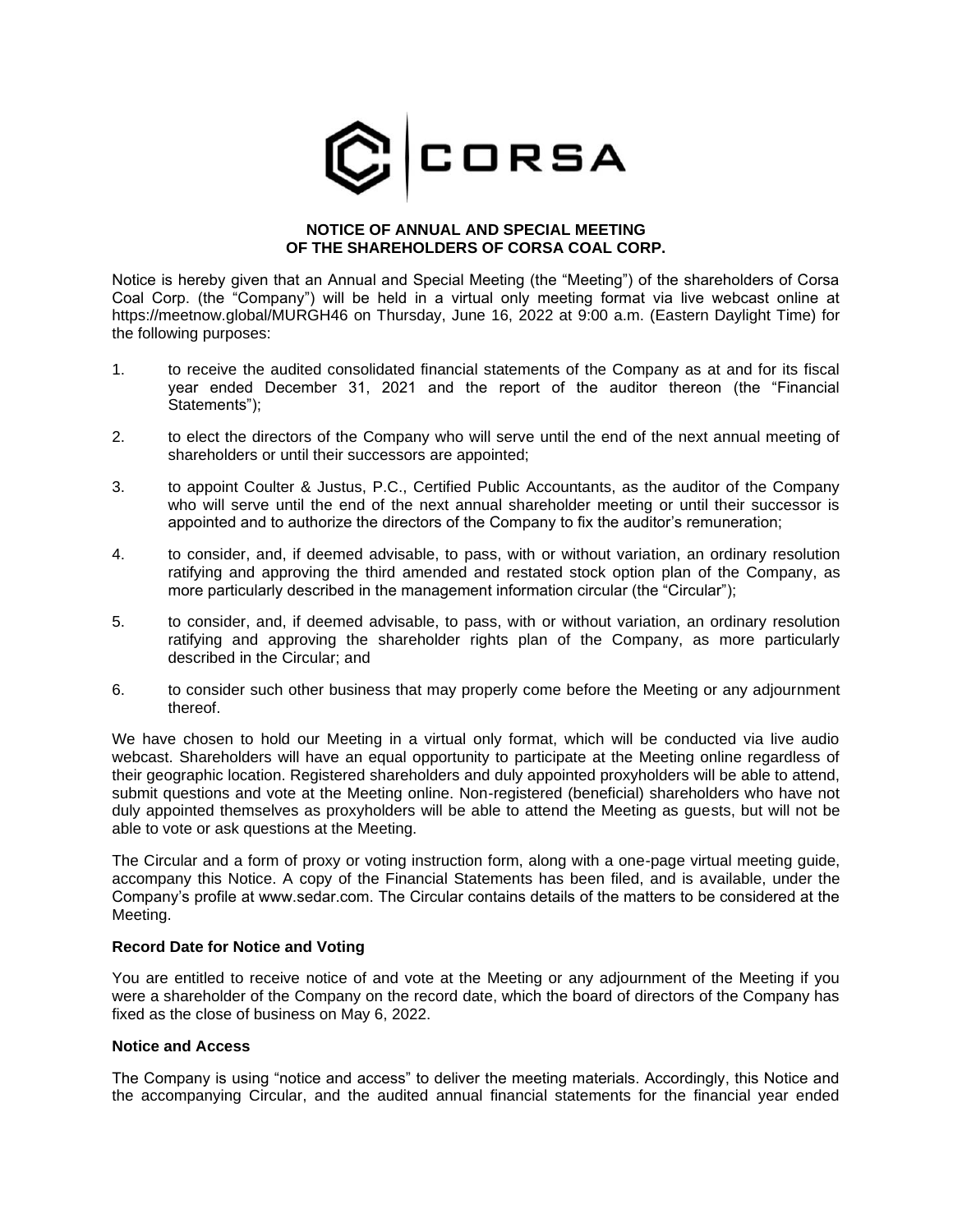

#### **NOTICE OF ANNUAL AND SPECIAL MEETING OF THE SHAREHOLDERS OF CORSA COAL CORP.**

Notice is hereby given that an Annual and Special Meeting (the "Meeting") of the shareholders of Corsa Coal Corp. (the "Company") will be held in a virtual only meeting format via live webcast online at https://meetnow.global/MURGH46 on Thursday, June 16, 2022 at 9:00 a.m. (Eastern Daylight Time) for the following purposes:

- 1. to receive the audited consolidated financial statements of the Company as at and for its fiscal year ended December 31, 2021 and the report of the auditor thereon (the "Financial Statements");
- 2. to elect the directors of the Company who will serve until the end of the next annual meeting of shareholders or until their successors are appointed;
- 3. to appoint Coulter & Justus, P.C., Certified Public Accountants, as the auditor of the Company who will serve until the end of the next annual shareholder meeting or until their successor is appointed and to authorize the directors of the Company to fix the auditor's remuneration;
- 4. to consider, and, if deemed advisable, to pass, with or without variation, an ordinary resolution ratifying and approving the third amended and restated stock option plan of the Company, as more particularly described in the management information circular (the "Circular");
- 5. to consider, and, if deemed advisable, to pass, with or without variation, an ordinary resolution ratifying and approving the shareholder rights plan of the Company, as more particularly described in the Circular; and
- 6. to consider such other business that may properly come before the Meeting or any adjournment thereof.

We have chosen to hold our Meeting in a virtual only format, which will be conducted via live audio webcast. Shareholders will have an equal opportunity to participate at the Meeting online regardless of their geographic location. Registered shareholders and duly appointed proxyholders will be able to attend, submit questions and vote at the Meeting online. Non-registered (beneficial) shareholders who have not duly appointed themselves as proxyholders will be able to attend the Meeting as guests, but will not be able to vote or ask questions at the Meeting.

The Circular and a form of proxy or voting instruction form, along with a one-page virtual meeting guide, accompany this Notice. A copy of the Financial Statements has been filed, and is available, under the Company's profile at www.sedar.com. The Circular contains details of the matters to be considered at the Meeting.

### **Record Date for Notice and Voting**

You are entitled to receive notice of and vote at the Meeting or any adjournment of the Meeting if you were a shareholder of the Company on the record date, which the board of directors of the Company has fixed as the close of business on May 6, 2022.

#### **Notice and Access**

The Company is using "notice and access" to deliver the meeting materials. Accordingly, this Notice and the accompanying Circular, and the audited annual financial statements for the financial year ended